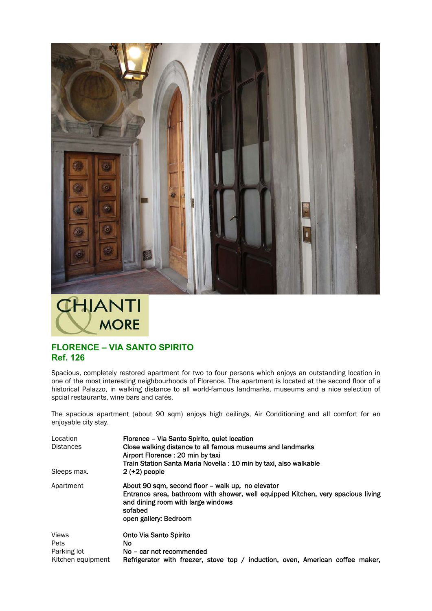



## **FLORENCE – VIA SANTO SPIRITO Ref. 126**

Spacious, completely restored apartment for two to four persons which enjoys an outstanding location in one of the most interesting neighbourhoods of Florence. The apartment is located at the second floor of a historical Palazzo, in walking distance to all world-famous landmarks, museums and a nice selection of spcial restaurants, wine bars and cafés.

The spacious apartment (about 90 sqm) enjoys high ceilings, Air Conditioning and all comfort for an enjoyable city stay.

| Location          | Florence - Via Santo Spirito, quiet location                                     |
|-------------------|----------------------------------------------------------------------------------|
| <b>Distances</b>  | Close walking distance to all famous museums and landmarks                       |
|                   | Airport Florence: 20 min by taxi                                                 |
|                   | Train Station Santa Maria Novella: 10 min by taxi, also walkable                 |
| Sleeps max.       | $2 (+2)$ people                                                                  |
| Apartment         | About 90 sam, second floor – walk up, no elevator                                |
|                   | Entrance area, bathroom with shower, well equipped Kitchen, very spacious living |
|                   | and dining room with large windows                                               |
|                   | sofabed                                                                          |
|                   | open gallery: Bedroom                                                            |
| <b>Views</b>      | Onto Via Santo Spirito                                                           |
| Pets              | No.                                                                              |
| Parking lot       | No - car not recommended                                                         |
| Kitchen equipment | Refrigerator with freezer, stove top / induction, oven, American coffee maker,   |